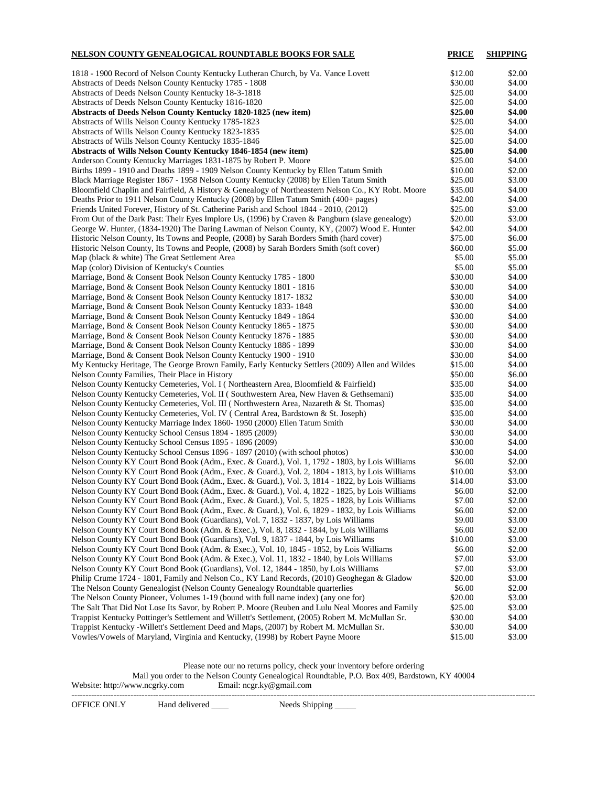| <u>NELSON COUNTY GENEALOGICAL ROUNDTABLE BOOKS FOR SALE</u>                                        | <b>PRICE</b> | <b>SHIPPING</b> |
|----------------------------------------------------------------------------------------------------|--------------|-----------------|
| 1818 - 1900 Record of Nelson County Kentucky Lutheran Church, by Va. Vance Lovett                  | \$12.00      | \$2.00          |
| Abstracts of Deeds Nelson County Kentucky 1785 - 1808                                              | \$30.00      | \$4.00          |
| Abstracts of Deeds Nelson County Kentucky 18-3-1818                                                | \$25.00      | \$4.00          |
| Abstracts of Deeds Nelson County Kentucky 1816-1820                                                | \$25.00      | \$4.00          |
| Abstracts of Deeds Nelson County Kentucky 1820-1825 (new item)                                     | \$25.00      | \$4.00          |
| Abstracts of Wills Nelson County Kentucky 1785-1823                                                | \$25.00      | \$4.00          |
| Abstracts of Wills Nelson County Kentucky 1823-1835                                                | \$25.00      | \$4.00          |
| Abstracts of Wills Nelson County Kentucky 1835-1846                                                | \$25.00      | \$4.00          |
| <b>Abstracts of Wills Nelson County Kentucky 1846-1854 (new item)</b>                              | \$25.00      | \$4.00          |
| Anderson County Kentucky Marriages 1831-1875 by Robert P. Moore                                    | \$25.00      | \$4.00          |
| Births 1899 - 1910 and Deaths 1899 - 1909 Nelson County Kentucky by Ellen Tatum Smith              | \$10.00      | \$2.00          |
| Black Marriage Register 1867 - 1958 Nelson County Kentucky (2008) by Ellen Tatum Smith             | \$25.00      | \$3.00          |
| Bloomfield Chaplin and Fairfield, A History & Genealogy of Northeastern Nelson Co., KY Robt. Moore | \$35.00      | \$4.00          |
| Deaths Prior to 1911 Nelson County Kentucky (2008) by Ellen Tatum Smith (400+ pages)               | \$42.00      | \$4.00          |
| Friends United Forever, History of St. Catherine Parish and School 1844 - 2010, (2012)             | \$25.00      | \$3.00          |
| From Out of the Dark Past: Their Eyes Implore Us, (1996) by Craven & Pangburn (slave genealogy)    | \$20.00      | \$3.00          |
| George W. Hunter, (1834-1920) The Daring Lawman of Nelson County, KY, (2007) Wood E. Hunter        | \$42.00      | \$4.00          |
| Historic Nelson County, Its Towns and People, (2008) by Sarah Borders Smith (hard cover)           | \$75.00      | \$6.00          |
| Historic Nelson County, Its Towns and People, (2008) by Sarah Borders Smith (soft cover)           | \$60.00      | \$5.00          |
| Map (black & white) The Great Settlement Area                                                      | \$5.00       | \$5.00          |
| Map (color) Division of Kentucky's Counties                                                        | \$5.00       | \$5.00          |
| Marriage, Bond & Consent Book Nelson County Kentucky 1785 - 1800                                   | \$30.00      | \$4.00          |
| Marriage, Bond & Consent Book Nelson County Kentucky 1801 - 1816                                   | \$30.00      | \$4.00          |
| Marriage, Bond & Consent Book Nelson County Kentucky 1817-1832                                     | \$30.00      | \$4.00          |
| Marriage, Bond & Consent Book Nelson County Kentucky 1833-1848                                     | \$30.00      | \$4.00          |
| Marriage, Bond & Consent Book Nelson County Kentucky 1849 - 1864                                   | \$30.00      | \$4.00          |
| Marriage, Bond & Consent Book Nelson County Kentucky 1865 - 1875                                   | \$30.00      | \$4.00          |
| Marriage, Bond & Consent Book Nelson County Kentucky 1876 - 1885                                   | \$30.00      | \$4.00          |
| Marriage, Bond & Consent Book Nelson County Kentucky 1886 - 1899                                   | \$30.00      | \$4.00          |
| Marriage, Bond & Consent Book Nelson County Kentucky 1900 - 1910                                   | \$30.00      | \$4.00          |
| My Kentucky Heritage, The George Brown Family, Early Kentucky Settlers (2009) Allen and Wildes     | \$15.00      | \$4.00          |
| Nelson County Families, Their Place in History                                                     | \$50.00      | \$6.00          |
| Nelson County Kentucky Cemeteries, Vol. I (Northeastern Area, Bloomfield & Fairfield)              | \$35.00      | \$4.00          |
| Nelson County Kentucky Cemeteries, Vol. II (Southwestern Area, New Haven & Gethsemani)             | \$35.00      | \$4.00          |
| Nelson County Kentucky Cemeteries, Vol. III (Northwestern Area, Nazareth & St. Thomas)             | \$35.00      | \$4.00          |
| Nelson County Kentucky Cemeteries, Vol. IV ( Central Area, Bardstown & St. Joseph)                 | \$35.00      | \$4.00          |
| Nelson County Kentucky Marriage Index 1860-1950 (2000) Ellen Tatum Smith                           | \$30.00      | \$4.00          |
| Nelson County Kentucky School Census 1894 - 1895 (2009)                                            | \$30.00      | \$4.00          |
| Nelson County Kentucky School Census 1895 - 1896 (2009)                                            | \$30.00      | \$4.00          |
| Nelson County Kentucky School Census 1896 - 1897 (2010) (with school photos)                       | \$30.00      | \$4.00          |
| Nelson County KY Court Bond Book (Adm., Exec. & Guard.), Vol. 1, 1792 - 1803, by Lois Williams     | \$6.00       | \$2.00          |
| Nelson County KY Court Bond Book (Adm., Exec. & Guard.), Vol. 2, 1804 - 1813, by Lois Williams     | \$10.00      | \$3.00          |
| Nelson County KY Court Bond Book (Adm., Exec. & Guard.), Vol. 3, 1814 - 1822, by Lois Williams     | \$14.00      | \$3.00          |
| Nelson County KY Court Bond Book (Adm., Exec. & Guard.), Vol. 4, 1822 - 1825, by Lois Williams     | \$6.00       | \$2.00          |
| Nelson County KY Court Bond Book (Adm., Exec. & Guard.), Vol. 5, 1825 - 1828, by Lois Williams     | \$7.00       | \$2.00          |
| Nelson County KY Court Bond Book (Adm., Exec. & Guard.), Vol. 6, 1829 - 1832, by Lois Williams     | \$6.00       | \$2.00          |
| Nelson County KY Court Bond Book (Guardians), Vol. 7, 1832 - 1837, by Lois Williams                | \$9.00       | \$3.00          |
| Nelson County KY Court Bond Book (Adm. & Exec.), Vol. 8, 1832 - 1844, by Lois Williams             | \$6.00       | \$2.00          |
| Nelson County KY Court Bond Book (Guardians), Vol. 9, 1837 - 1844, by Lois Williams                | \$10.00      | \$3.00          |
| Nelson County KY Court Bond Book (Adm. & Exec.), Vol. 10, 1845 - 1852, by Lois Williams            | \$6.00       | \$2.00          |
| Nelson County KY Court Bond Book (Adm. & Exec.), Vol. 11, 1832 - 1840, by Lois Williams            | \$7.00       | \$3.00          |
| Nelson County KY Court Bond Book (Guardians), Vol. 12, 1844 - 1850, by Lois Williams               | \$7.00       | \$3.00          |
| Philip Crume 1724 - 1801, Family and Nelson Co., KY Land Records, (2010) Geoghegan & Gladow        | \$20.00      | \$3.00          |
| The Nelson County Genealogist (Nelson County Genealogy Roundtable quarterlies                      | \$6.00       | \$2.00          |
| The Nelson County Pioneer, Volumes 1-19 (bound with full name index) (any one for)                 | \$20.00      | \$3.00          |
| The Salt That Did Not Lose Its Savor, by Robert P. Moore (Reuben and Lulu Neal Moores and Family   | \$25.00      | \$3.00          |
| Trappist Kentucky Pottinger's Settlement and Willett's Settlement, (2005) Robert M. McMullan Sr.   | \$30.00      | \$4.00          |
| Trappist Kentucky - Willett's Settlement Deed and Maps, (2007) by Robert M. McMullan Sr.           | \$30.00      | \$4.00          |
| Vowles/Vowels of Maryland, Virginia and Kentucky, (1998) by Robert Payne Moore                     | \$15.00      | \$3.00          |

Please note our no returns policy, check your inventory before ordering Mail you order to the Nelson County Genealogical Roundtable, P.O. Box 409, Bardstown, KY 40004 Website: http://www.ncgrky.com Email: ncgr.ky@gmail.com ---------------------------------------------------------------------------------------------------------------------------------------------------------------------

OFFICE ONLY Hand delivered \_\_\_\_ Needs Shipping \_\_\_\_